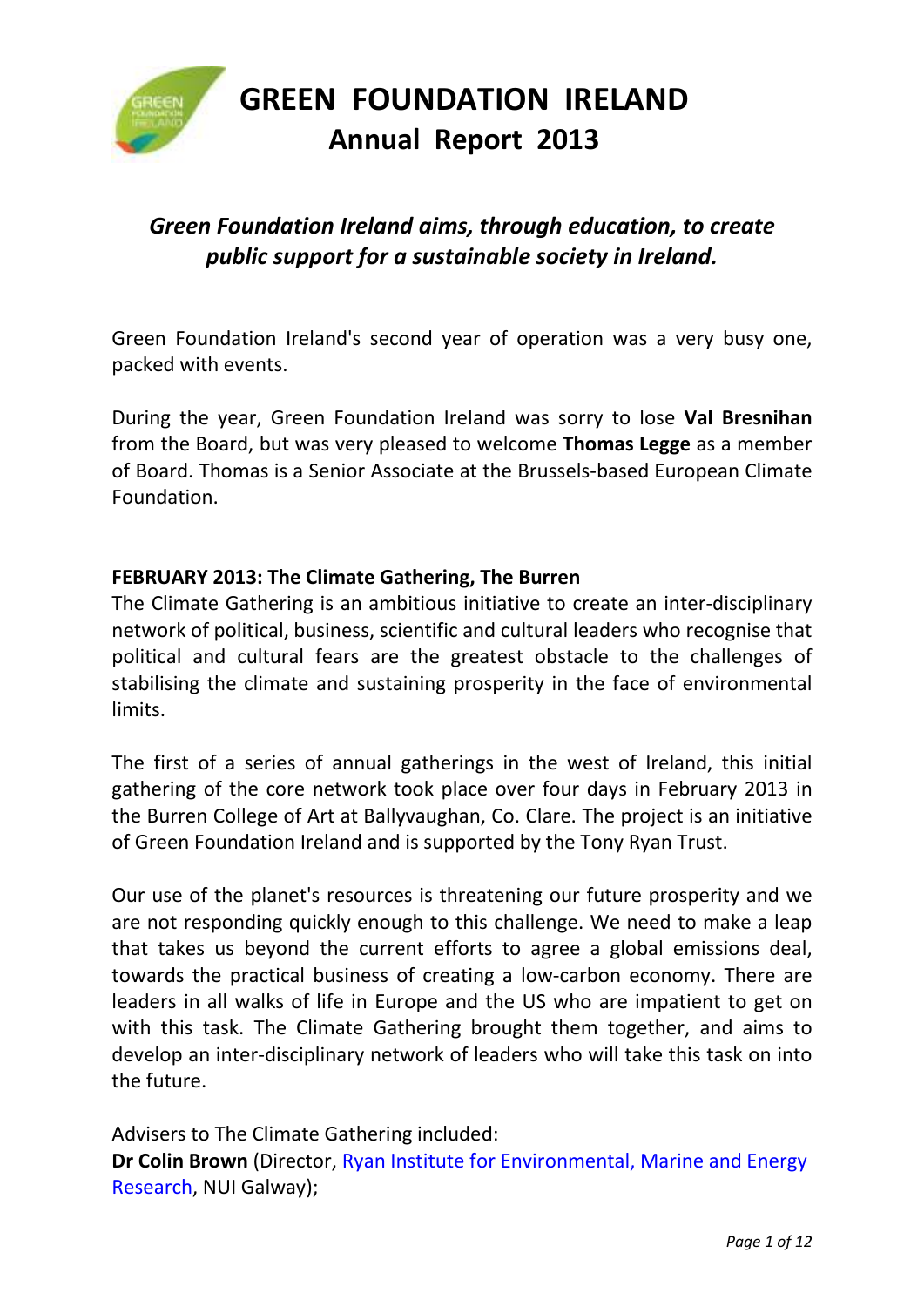

## *Green Foundation Ireland aims, through education, to create public support for a sustainable society in Ireland.*

Green Foundation Ireland's second year of operation was a very busy one, packed with events.

During the year, Green Foundation Ireland was sorry to lose **Val Bresnihan** from the Board, but was very pleased to welcome **Thomas Legge** as a member of Board. Thomas is a Senior Associate at the Brussels-based European Climate Foundation.

#### **FEBRUARY 2013: The Climate Gathering, The Burren**

The Climate Gathering is an ambitious initiative to create an inter-disciplinary network of political, business, scientific and cultural leaders who recognise that political and cultural fears are the greatest obstacle to the challenges of stabilising the climate and sustaining prosperity in the face of environmental limits.

The first of a series of annual gatherings in the west of Ireland, this initial gathering of the core network took place over four days in February 2013 in the Burren College of Art at Ballyvaughan, Co. Clare. The project is an initiative of Green Foundation Ireland and is supported by the Tony Ryan Trust.

Our use of the planet's resources is threatening our future prosperity and we are not responding quickly enough to this challenge. We need to make a leap that takes us beyond the current efforts to agree a global emissions deal, towards the practical business of creating a low-carbon economy. There are leaders in all walks of life in Europe and the US who are impatient to get on with this task. The Climate Gathering brought them together, and aims to develop an inter-disciplinary network of leaders who will take this task on into the future.

Advisers to The Climate Gathering included: **Dr Colin Brown** (Director, Ryan Institute for Environmental, Marine and Energy Research, NUI Galway);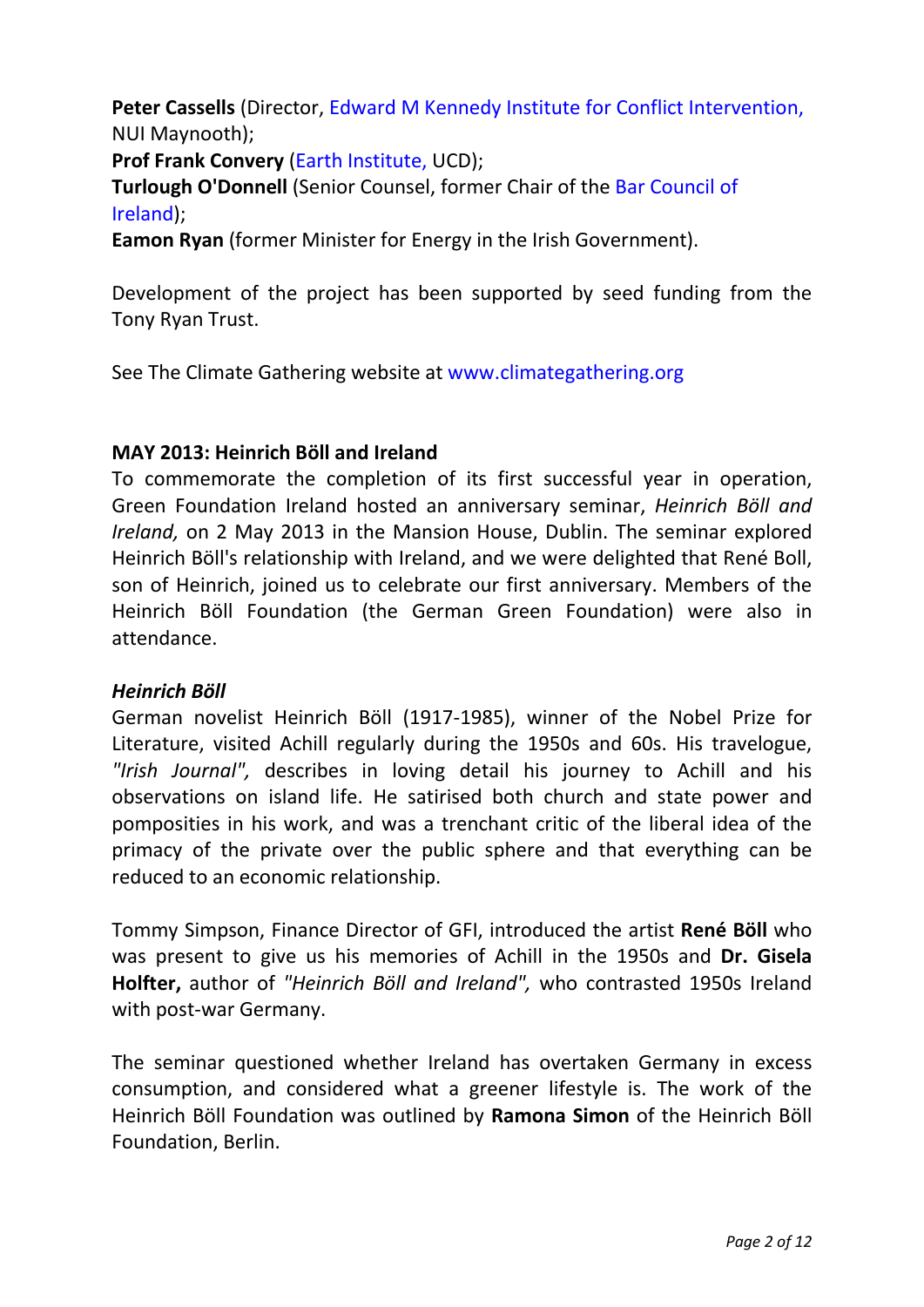**Peter Cassells** (Director, Edward M Kennedy Institute for Conflict Intervention, NUI Maynooth);

**Prof Frank Convery** (Earth Institute, UCD);

**Turlough O'Donnell** (Senior Counsel, former Chair of the Bar Council of Ireland);

**Eamon Ryan** (former Minister for Energy in the Irish Government).

Development of the project has been supported by seed funding from the Tony Ryan Trust.

See The Climate Gathering website at www.climategathering.org

#### **MAY 2013: Heinrich Böll and Ireland**

To commemorate the completion of its first successful year in operation, Green Foundation Ireland hosted an anniversary seminar, *Heinrich Böll and Ireland,* on 2 May 2013 in the Mansion House, Dublin. The seminar explored Heinrich Böll's relationship with Ireland, and we were delighted that René Boll, son of Heinrich, joined us to celebrate our first anniversary. Members of the Heinrich Böll Foundation (the German Green Foundation) were also in attendance.

#### *Heinrich Böll*

German novelist Heinrich Böll (1917-1985), winner of the Nobel Prize for Literature, visited Achill regularly during the 1950s and 60s. His travelogue, *"Irish Journal",* describes in loving detail his journey to Achill and his observations on island life. He satirised both church and state power and pomposities in his work, and was a trenchant critic of the liberal idea of the primacy of the private over the public sphere and that everything can be reduced to an economic relationship.

Tommy Simpson, Finance Director of GFI, introduced the artist **René Böll** who was present to give us his memories of Achill in the 1950s and **Dr. Gisela Holfter,** author of *"Heinrich Böll and Ireland",* who contrasted 1950s Ireland with post-war Germany.

The seminar questioned whether Ireland has overtaken Germany in excess consumption, and considered what a greener lifestyle is. The work of the Heinrich Böll Foundation was outlined by **Ramona Simon** of the Heinrich Böll Foundation, Berlin.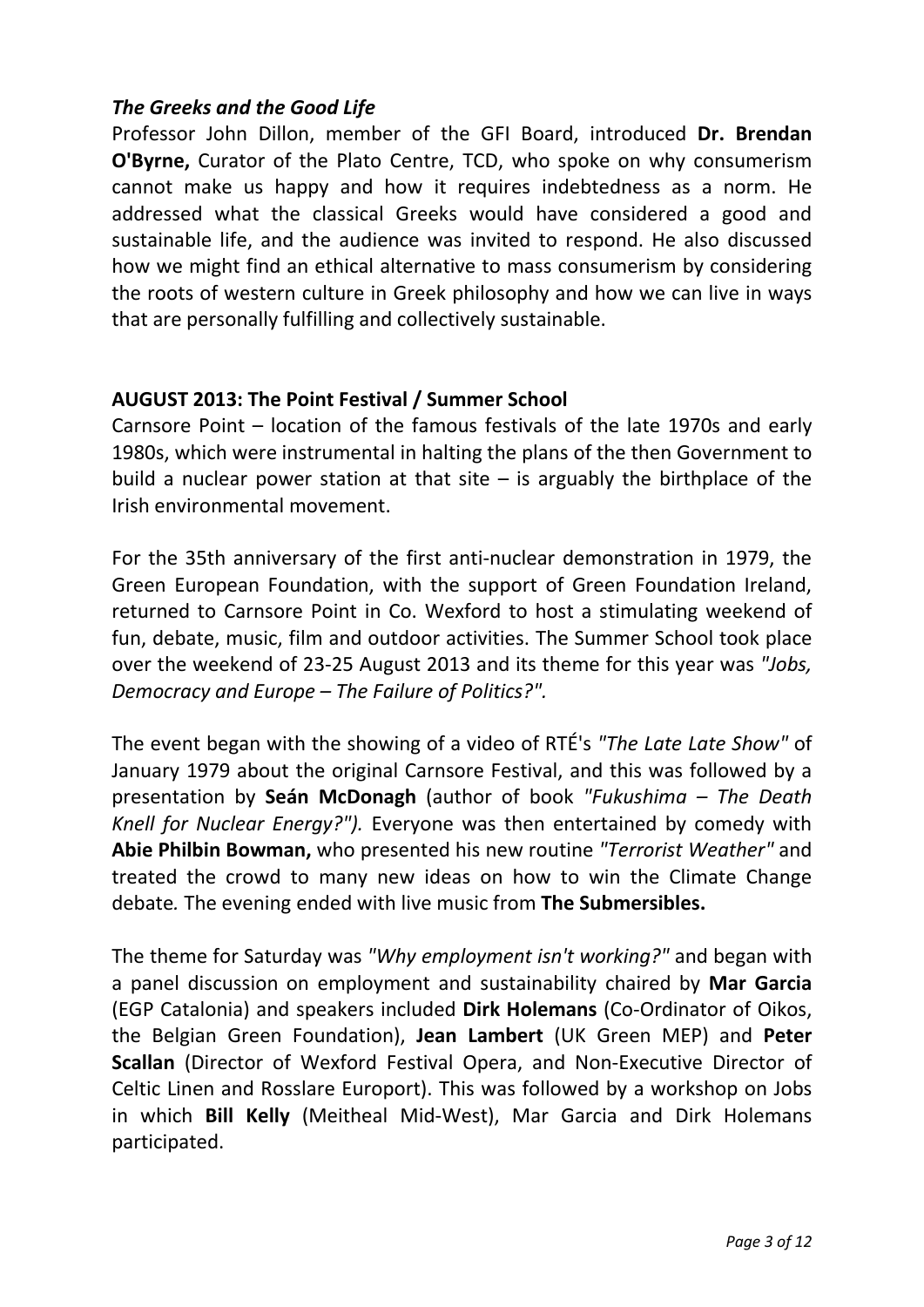#### *The Greeks and the Good Life*

Professor John Dillon, member of the GFI Board, introduced **Dr. Brendan O'Byrne,** Curator of the Plato Centre, TCD, who spoke on why consumerism cannot make us happy and how it requires indebtedness as a norm. He addressed what the classical Greeks would have considered a good and sustainable life, and the audience was invited to respond. He also discussed how we might find an ethical alternative to mass consumerism by considering the roots of western culture in Greek philosophy and how we can live in ways that are personally fulfilling and collectively sustainable.

#### **AUGUST 2013: The Point Festival / Summer School**

Carnsore Point – location of the famous festivals of the late 1970s and early 1980s, which were instrumental in halting the plans of the then Government to build a nuclear power station at that site  $-$  is arguably the birthplace of the Irish environmental movement.

For the 35th anniversary of the first anti-nuclear demonstration in 1979, the Green European Foundation, with the support of Green Foundation Ireland, returned to Carnsore Point in Co. Wexford to host a stimulating weekend of fun, debate, music, film and outdoor activities. The Summer School took place over the weekend of 23-25 August 2013 and its theme for this year was *"Jobs, Democracy and Europe – The Failure of Politics?".* 

The event began with the showing of a video of RTÉ's *"The Late Late Show"* of January 1979 about the original Carnsore Festival, and this was followed by a presentation by **Seán McDonagh** (author of book *"Fukushima – The Death Knell for Nuclear Energy?").* Everyone was then entertained by comedy with **Abie Philbin Bowman,** who presented his new routine *"Terrorist Weather"* and treated the crowd to many new ideas on how to win the Climate Change debate*.* The evening ended with live music from **The Submersibles.**

The theme for Saturday was *"Why employment isn't working?"* and began with a panel discussion on employment and sustainability chaired by **Mar Garcia** (EGP Catalonia) and speakers included **Dirk Holemans** (Co-Ordinator of Oikos, the Belgian Green Foundation), **Jean Lambert** (UK Green MEP) and **Peter Scallan** (Director of Wexford Festival Opera, and Non-Executive Director of Celtic Linen and Rosslare Europort). This was followed by a workshop on Jobs in which **Bill Kelly** (Meitheal Mid-West), Mar Garcia and Dirk Holemans participated.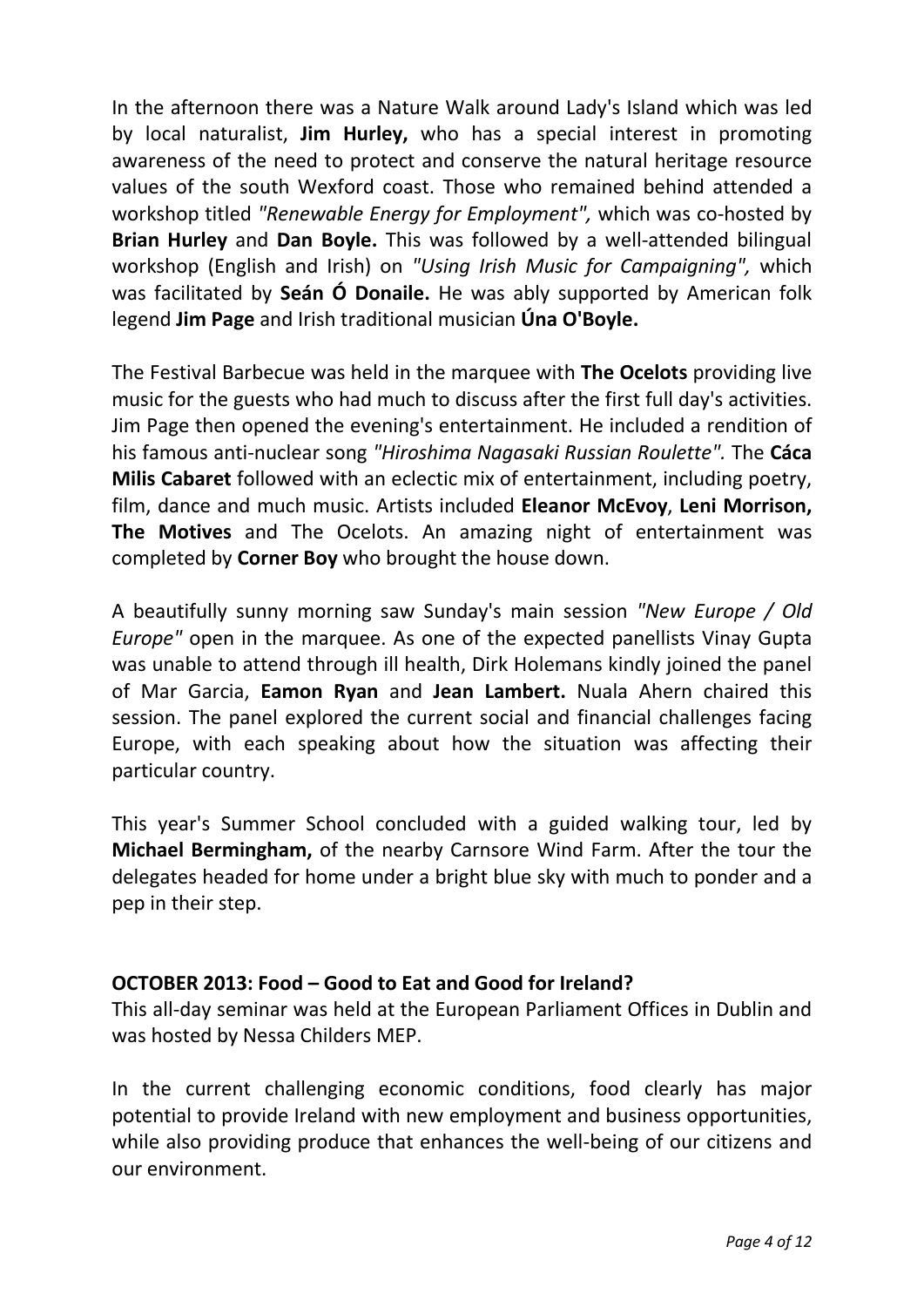In the afternoon there was a Nature Walk around Lady's Island which was led by local naturalist, **Jim Hurley,** who has a special interest in promoting awareness of the need to protect and conserve the natural heritage resource values of the south Wexford coast. Those who remained behind attended a workshop titled *"Renewable Energy for Employment",* which was co-hosted by **Brian Hurley** and **Dan Boyle.** This was followed by a well-attended bilingual workshop (English and Irish) on *"Using Irish Music for Campaigning",* which was facilitated by **Seán Ó Donaile.** He was ably supported by American folk legend **Jim Page** and Irish traditional musician **Úna O'Boyle.**

The Festival Barbecue was held in the marquee with **The Ocelots** providing live music for the guests who had much to discuss after the first full day's activities. Jim Page then opened the evening's entertainment. He included a rendition of his famous anti-nuclear song *"Hiroshima Nagasaki Russian Roulette".* The **Cáca Milis Cabaret** followed with an eclectic mix of entertainment, including poetry, film, dance and much music. Artists included **Eleanor McEvoy**, **Leni Morrison, The Motives** and The Ocelots. An amazing night of entertainment was completed by **Corner Boy** who brought the house down.

A beautifully sunny morning saw Sunday's main session *"New Europe / Old Europe"* open in the marquee. As one of the expected panellists Vinay Gupta was unable to attend through ill health, Dirk Holemans kindly joined the panel of Mar Garcia, **Eamon Ryan** and **Jean Lambert.** Nuala Ahern chaired this session. The panel explored the current social and financial challenges facing Europe, with each speaking about how the situation was affecting their particular country.

This year's Summer School concluded with a guided walking tour, led by **Michael Bermingham,** of the nearby Carnsore Wind Farm. After the tour the delegates headed for home under a bright blue sky with much to ponder and a pep in their step.

#### **OCTOBER 2013: Food – Good to Eat and Good for Ireland?**

This all-day seminar was held at the European Parliament Offices in Dublin and was hosted by Nessa Childers MEP.

In the current challenging economic conditions, food clearly has major potential to provide Ireland with new employment and business opportunities, while also providing produce that enhances the well-being of our citizens and our environment.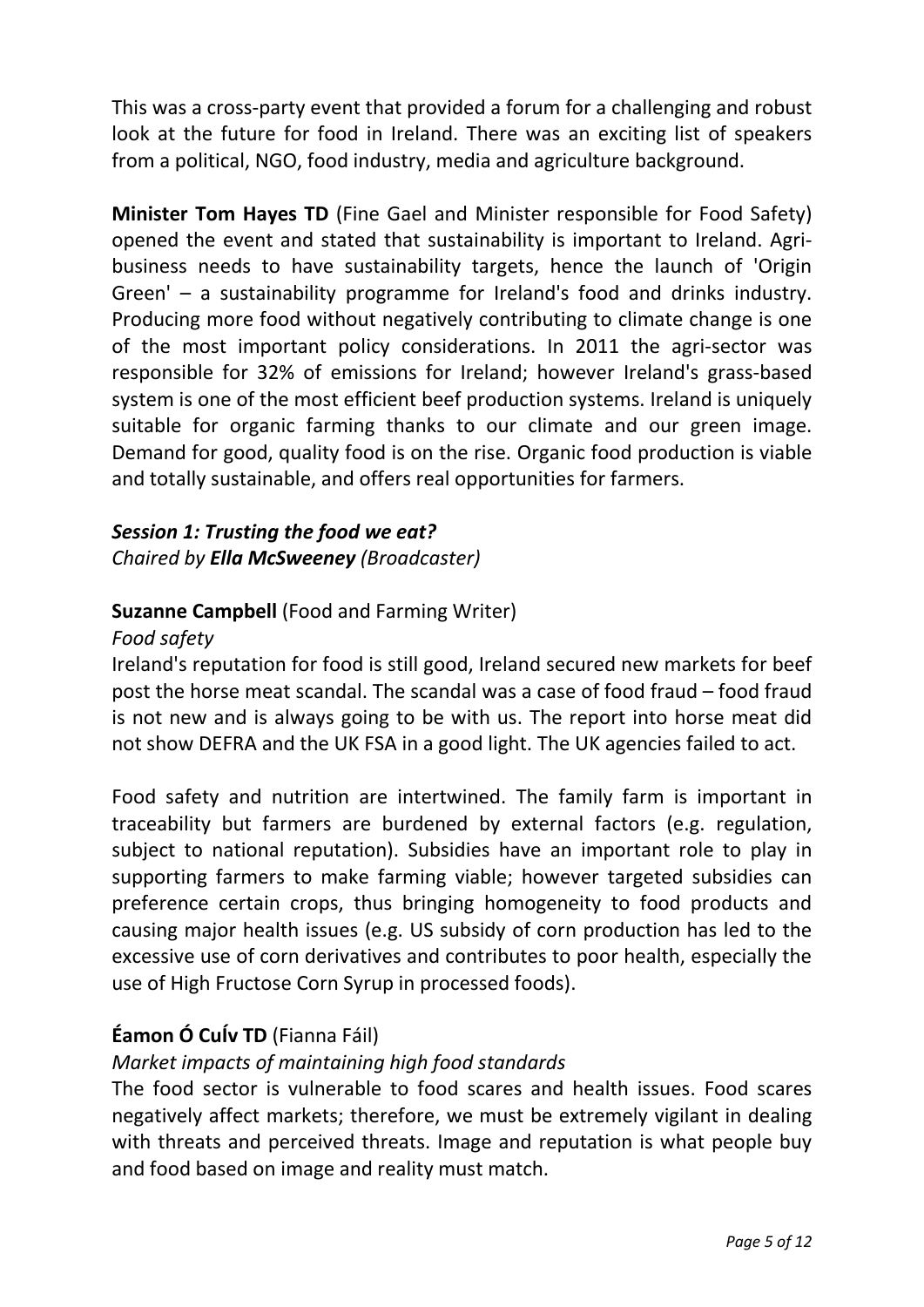This was a cross-party event that provided a forum for a challenging and robust look at the future for food in Ireland. There was an exciting list of speakers from a political, NGO, food industry, media and agriculture background.

**Minister Tom Hayes TD** (Fine Gael and Minister responsible for Food Safety) opened the event and stated that sustainability is important to Ireland. Agribusiness needs to have sustainability targets, hence the launch of 'Origin Green' – a sustainability programme for Ireland's food and drinks industry. Producing more food without negatively contributing to climate change is one of the most important policy considerations. In 2011 the agri-sector was responsible for 32% of emissions for Ireland; however Ireland's grass-based system is one of the most efficient beef production systems. Ireland is uniquely suitable for organic farming thanks to our climate and our green image. Demand for good, quality food is on the rise. Organic food production is viable and totally sustainable, and offers real opportunities for farmers.

#### *Session 1: Trusting the food we eat? Chaired by Ella McSweeney (Broadcaster)*

## **Suzanne Campbell** (Food and Farming Writer)

#### *Food safety*

Ireland's reputation for food is still good, Ireland secured new markets for beef post the horse meat scandal. The scandal was a case of food fraud – food fraud is not new and is always going to be with us. The report into horse meat did not show DEFRA and the UK FSA in a good light. The UK agencies failed to act.

Food safety and nutrition are intertwined. The family farm is important in traceability but farmers are burdened by external factors (e.g. regulation, subject to national reputation). Subsidies have an important role to play in supporting farmers to make farming viable; however targeted subsidies can preference certain crops, thus bringing homogeneity to food products and causing major health issues (e.g. US subsidy of corn production has led to the excessive use of corn derivatives and contributes to poor health, especially the use of High Fructose Corn Syrup in processed foods).

## **Éamon Ó CuÍv TD** (Fianna Fáil)

## *Market impacts of maintaining high food standards*

The food sector is vulnerable to food scares and health issues. Food scares negatively affect markets; therefore, we must be extremely vigilant in dealing with threats and perceived threats. Image and reputation is what people buy and food based on image and reality must match.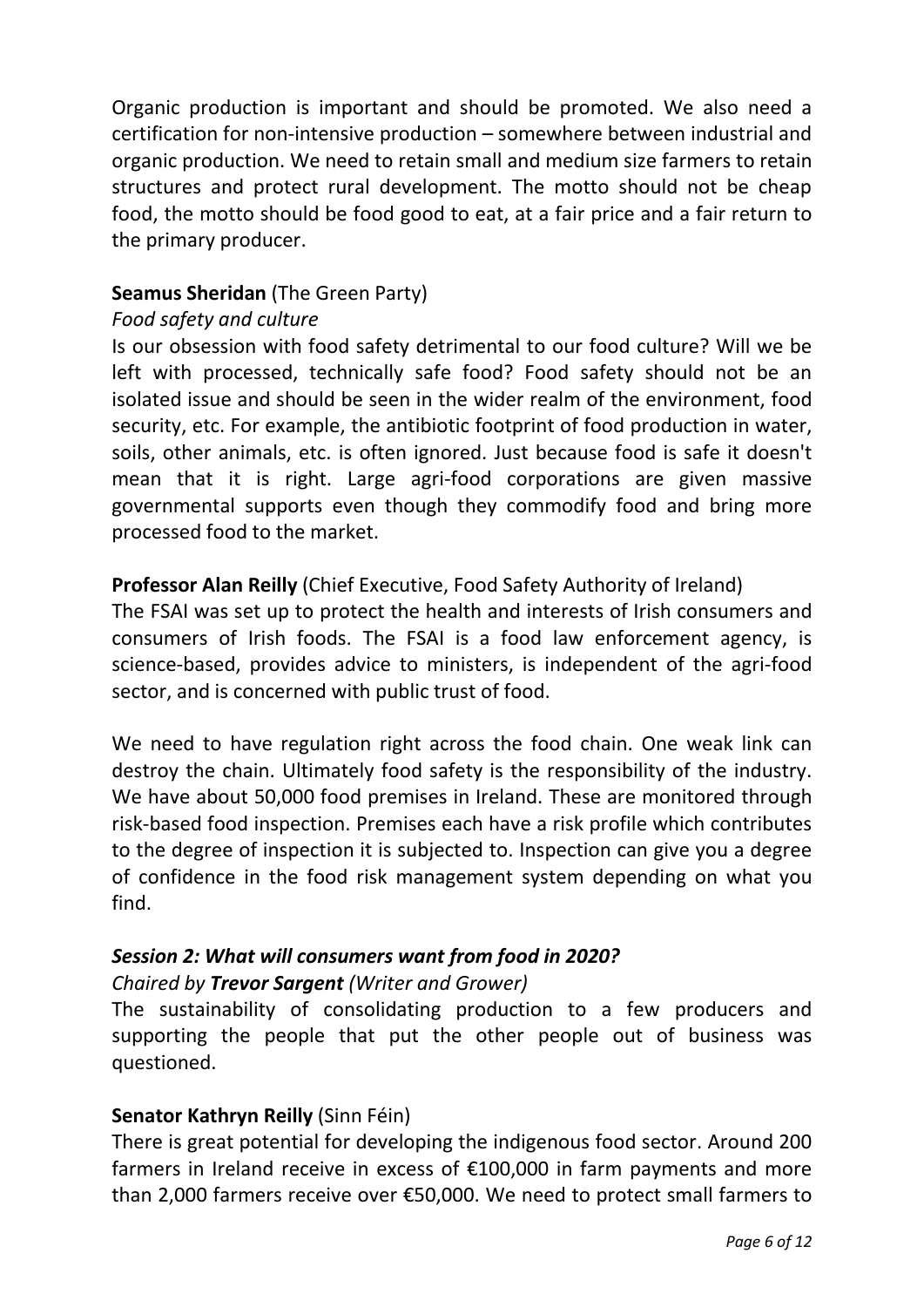Organic production is important and should be promoted. We also need a certification for non-intensive production – somewhere between industrial and organic production. We need to retain small and medium size farmers to retain structures and protect rural development. The motto should not be cheap food, the motto should be food good to eat, at a fair price and a fair return to the primary producer.

#### **Seamus Sheridan** (The Green Party)

#### *Food safety and culture*

Is our obsession with food safety detrimental to our food culture? Will we be left with processed, technically safe food? Food safety should not be an isolated issue and should be seen in the wider realm of the environment, food security, etc. For example, the antibiotic footprint of food production in water, soils, other animals, etc. is often ignored. Just because food is safe it doesn't mean that it is right. Large agri-food corporations are given massive governmental supports even though they commodify food and bring more processed food to the market.

#### **Professor Alan Reilly** (Chief Executive, Food Safety Authority of Ireland)

The FSAI was set up to protect the health and interests of Irish consumers and consumers of Irish foods. The FSAI is a food law enforcement agency, is science-based, provides advice to ministers, is independent of the agri-food sector, and is concerned with public trust of food.

We need to have regulation right across the food chain. One weak link can destroy the chain. Ultimately food safety is the responsibility of the industry. We have about 50,000 food premises in Ireland. These are monitored through risk-based food inspection. Premises each have a risk profile which contributes to the degree of inspection it is subjected to. Inspection can give you a degree of confidence in the food risk management system depending on what you find.

# *Session 2: What will consumers want from food in 2020?*

#### *Chaired by Trevor Sargent (Writer and Grower)*

The sustainability of consolidating production to a few producers and supporting the people that put the other people out of business was questioned.

#### **Senator Kathryn Reilly** (Sinn Féin)

There is great potential for developing the indigenous food sector. Around 200 farmers in Ireland receive in excess of €100,000 in farm payments and more than 2,000 farmers receive over €50,000. We need to protect small farmers to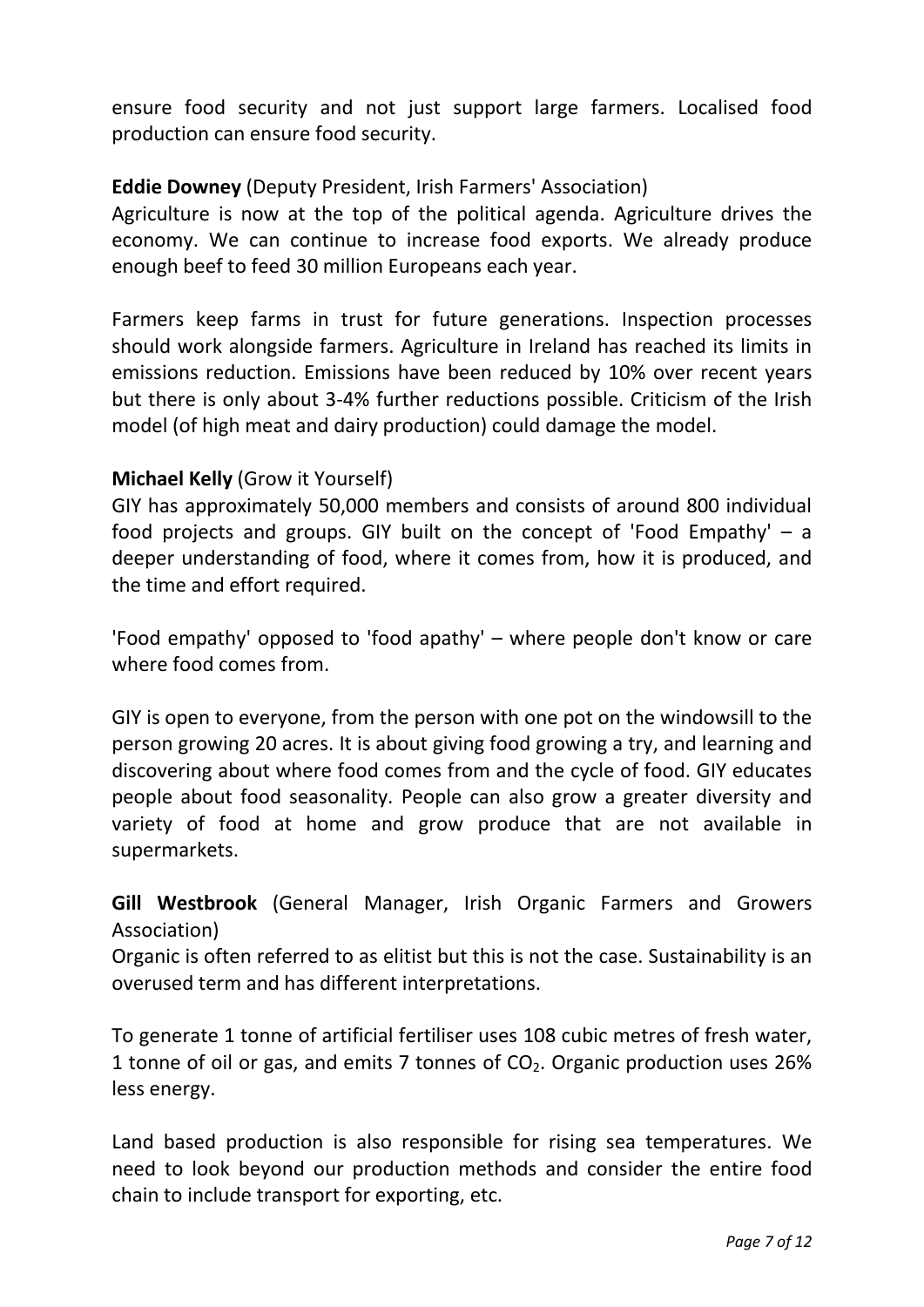ensure food security and not just support large farmers. Localised food production can ensure food security.

#### **Eddie Downey** (Deputy President, Irish Farmers' Association)

Agriculture is now at the top of the political agenda. Agriculture drives the economy. We can continue to increase food exports. We already produce enough beef to feed 30 million Europeans each year.

Farmers keep farms in trust for future generations. Inspection processes should work alongside farmers. Agriculture in Ireland has reached its limits in emissions reduction. Emissions have been reduced by 10% over recent years but there is only about 3-4% further reductions possible. Criticism of the Irish model (of high meat and dairy production) could damage the model.

#### **Michael Kelly** (Grow it Yourself)

GIY has approximately 50,000 members and consists of around 800 individual food projects and groups. GIY built on the concept of 'Food Empathy' – a deeper understanding of food, where it comes from, how it is produced, and the time and effort required.

'Food empathy' opposed to 'food apathy' – where people don't know or care where food comes from.

GIY is open to everyone, from the person with one pot on the windowsill to the person growing 20 acres. It is about giving food growing a try, and learning and discovering about where food comes from and the cycle of food. GIY educates people about food seasonality. People can also grow a greater diversity and variety of food at home and grow produce that are not available in supermarkets.

**Gill Westbrook** (General Manager, Irish Organic Farmers and Growers Association)

Organic is often referred to as elitist but this is not the case. Sustainability is an overused term and has different interpretations.

To generate 1 tonne of artificial fertiliser uses 108 cubic metres of fresh water, 1 tonne of oil or gas, and emits 7 tonnes of  $CO<sub>2</sub>$ . Organic production uses 26% less energy.

Land based production is also responsible for rising sea temperatures. We need to look beyond our production methods and consider the entire food chain to include transport for exporting, etc.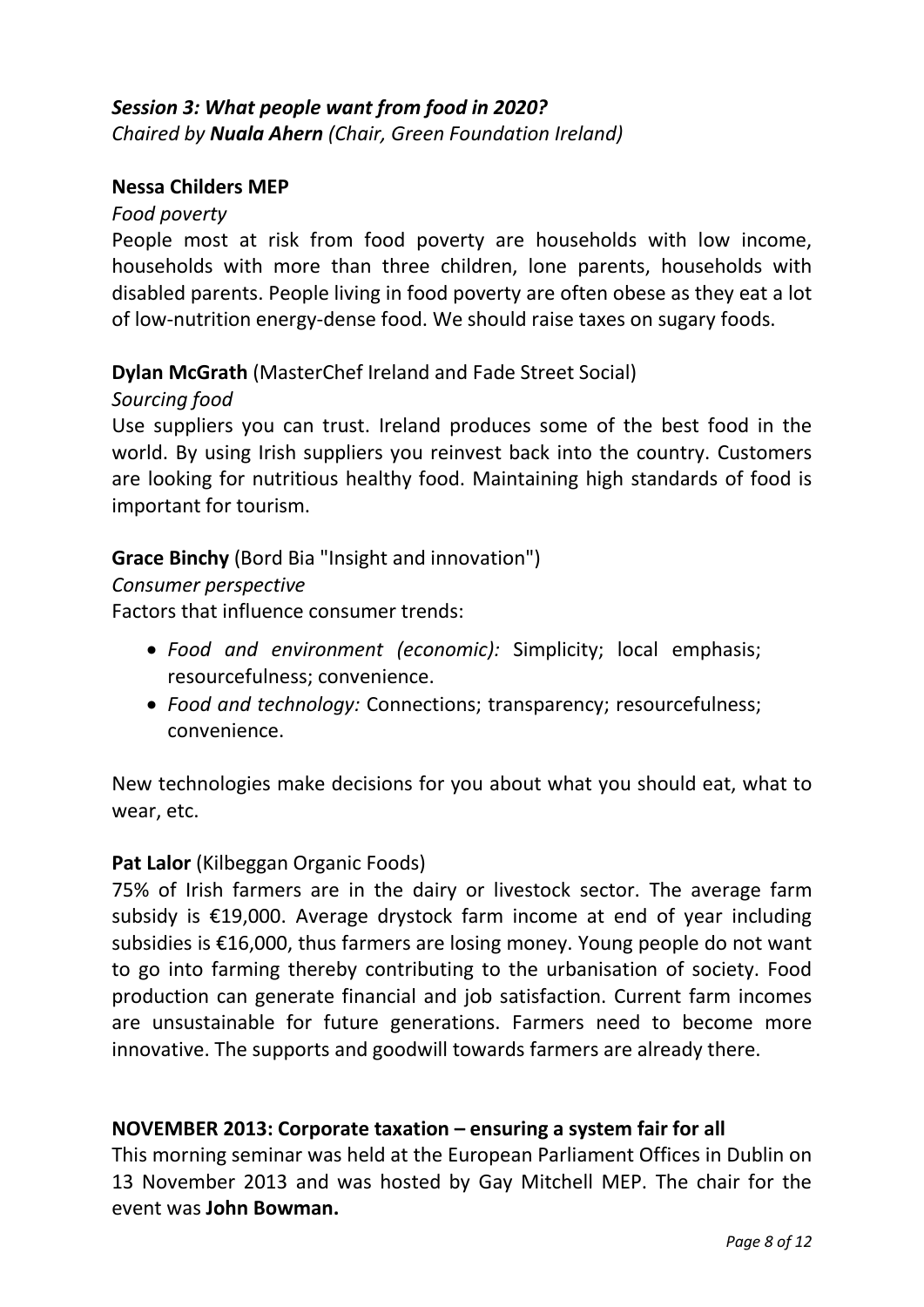#### *Session 3: What people want from food in 2020? Chaired by Nuala Ahern (Chair, Green Foundation Ireland)*

#### **Nessa Childers MEP**

#### *Food poverty*

People most at risk from food poverty are households with low income, households with more than three children, lone parents, households with disabled parents. People living in food poverty are often obese as they eat a lot of low-nutrition energy-dense food. We should raise taxes on sugary foods.

**Dylan McGrath** (MasterChef Ireland and Fade Street Social)

#### *Sourcing food*

Use suppliers you can trust. Ireland produces some of the best food in the world. By using Irish suppliers you reinvest back into the country. Customers are looking for nutritious healthy food. Maintaining high standards of food is important for tourism.

#### **Grace Binchy** (Bord Bia "Insight and innovation")

#### *Consumer perspective*

Factors that influence consumer trends:

- *Food and environment (economic):* Simplicity; local emphasis; resourcefulness; convenience.
- *Food and technology:* Connections; transparency; resourcefulness; convenience.

New technologies make decisions for you about what you should eat, what to wear, etc.

#### **Pat Lalor** (Kilbeggan Organic Foods)

75% of Irish farmers are in the dairy or livestock sector. The average farm subsidy is €19,000. Average drystock farm income at end of year including subsidies is €16,000, thus farmers are losing money. Young people do not want to go into farming thereby contributing to the urbanisation of society. Food production can generate financial and job satisfaction. Current farm incomes are unsustainable for future generations. Farmers need to become more innovative. The supports and goodwill towards farmers are already there.

#### **NOVEMBER 2013: Corporate taxation – ensuring a system fair for all**

This morning seminar was held at the European Parliament Offices in Dublin on 13 November 2013 and was hosted by Gay Mitchell MEP. The chair for the event was **John Bowman.**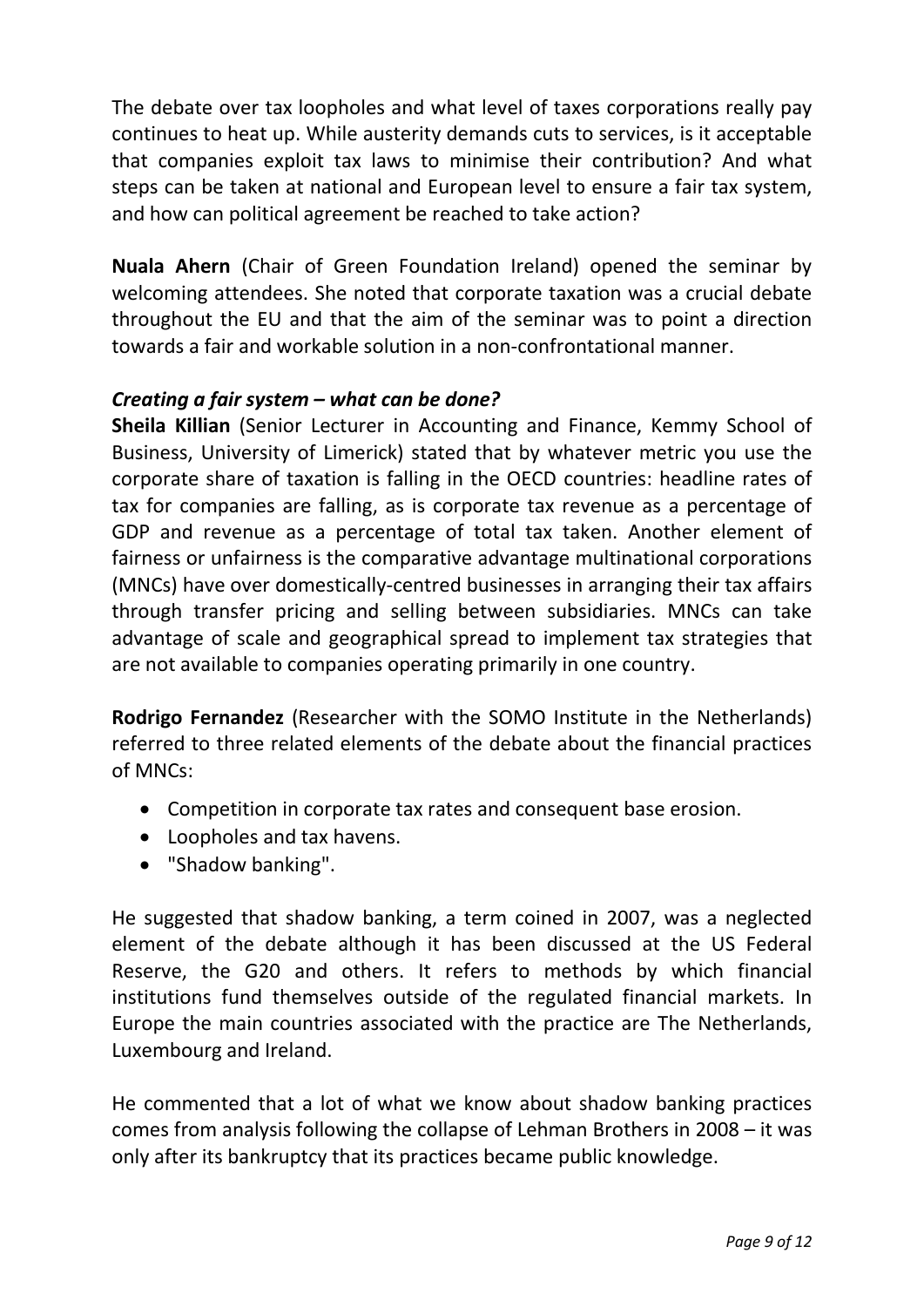The debate over tax loopholes and what level of taxes corporations really pay continues to heat up. While austerity demands cuts to services, is it acceptable that companies exploit tax laws to minimise their contribution? And what steps can be taken at national and European level to ensure a fair tax system, and how can political agreement be reached to take action?

**Nuala Ahern** (Chair of Green Foundation Ireland) opened the seminar by welcoming attendees. She noted that corporate taxation was a crucial debate throughout the EU and that the aim of the seminar was to point a direction towards a fair and workable solution in a non-confrontational manner.

### *Creating a fair system – what can be done?*

**Sheila Killian** (Senior Lecturer in Accounting and Finance, Kemmy School of Business, University of Limerick) stated that by whatever metric you use the corporate share of taxation is falling in the OECD countries: headline rates of tax for companies are falling, as is corporate tax revenue as a percentage of GDP and revenue as a percentage of total tax taken. Another element of fairness or unfairness is the comparative advantage multinational corporations (MNCs) have over domestically-centred businesses in arranging their tax affairs through transfer pricing and selling between subsidiaries. MNCs can take advantage of scale and geographical spread to implement tax strategies that are not available to companies operating primarily in one country.

**Rodrigo Fernandez** (Researcher with the SOMO Institute in the Netherlands) referred to three related elements of the debate about the financial practices of MNCs:

- Competition in corporate tax rates and consequent base erosion.
- Loopholes and tax havens.
- "Shadow banking".

He suggested that shadow banking, a term coined in 2007, was a neglected element of the debate although it has been discussed at the US Federal Reserve, the G20 and others. It refers to methods by which financial institutions fund themselves outside of the regulated financial markets. In Europe the main countries associated with the practice are The Netherlands, Luxembourg and Ireland.

He commented that a lot of what we know about shadow banking practices comes from analysis following the collapse of Lehman Brothers in 2008 – it was only after its bankruptcy that its practices became public knowledge.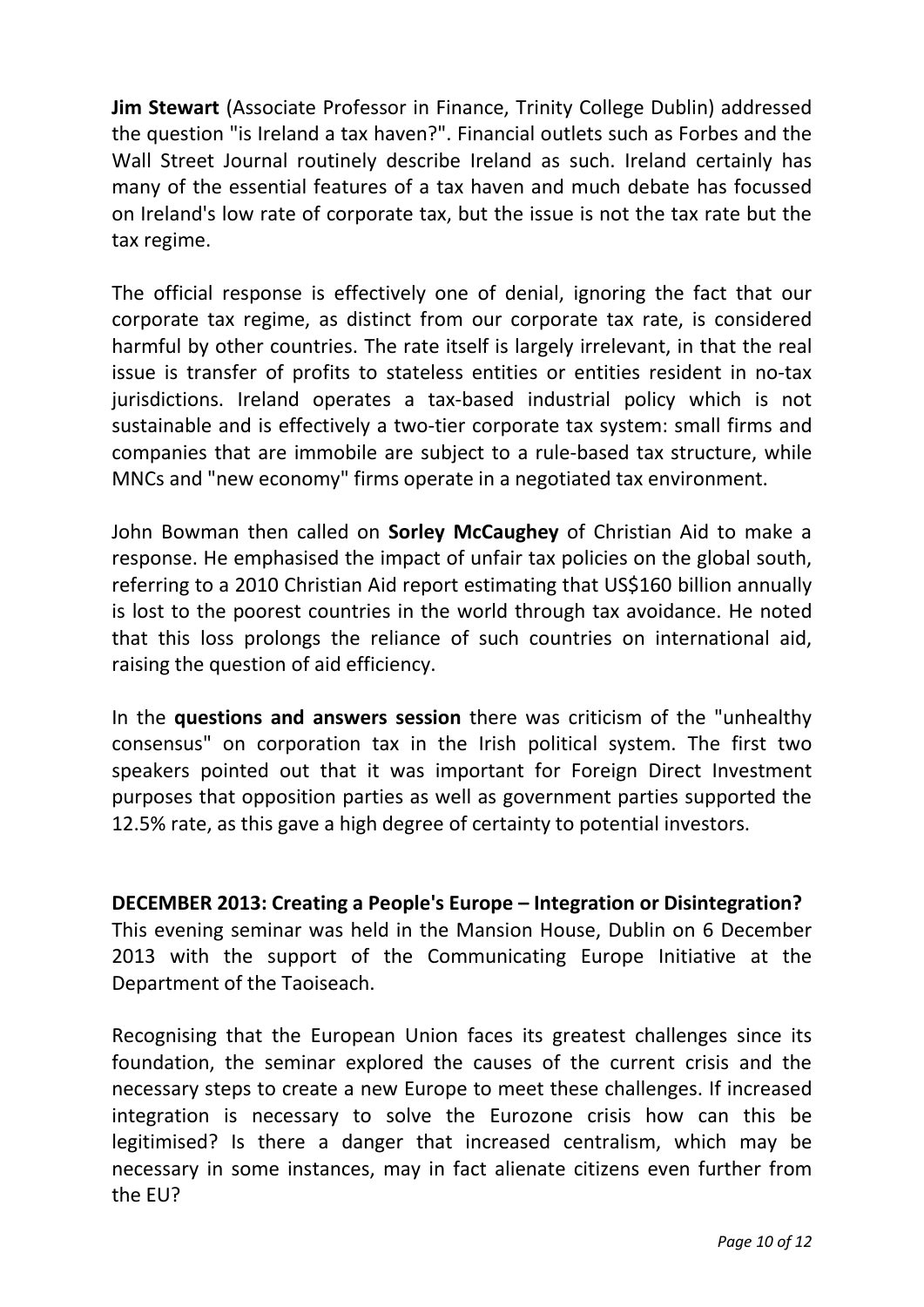**Jim Stewart** (Associate Professor in Finance, Trinity College Dublin) addressed the question "is Ireland a tax haven?". Financial outlets such as Forbes and the Wall Street Journal routinely describe Ireland as such. Ireland certainly has many of the essential features of a tax haven and much debate has focussed on Ireland's low rate of corporate tax, but the issue is not the tax rate but the tax regime.

The official response is effectively one of denial, ignoring the fact that our corporate tax regime, as distinct from our corporate tax rate, is considered harmful by other countries. The rate itself is largely irrelevant, in that the real issue is transfer of profits to stateless entities or entities resident in no-tax jurisdictions. Ireland operates a tax-based industrial policy which is not sustainable and is effectively a two-tier corporate tax system: small firms and companies that are immobile are subject to a rule-based tax structure, while MNCs and "new economy" firms operate in a negotiated tax environment.

John Bowman then called on **Sorley McCaughey** of Christian Aid to make a response. He emphasised the impact of unfair tax policies on the global south, referring to a 2010 Christian Aid report estimating that US\$160 billion annually is lost to the poorest countries in the world through tax avoidance. He noted that this loss prolongs the reliance of such countries on international aid, raising the question of aid efficiency.

In the **questions and answers session** there was criticism of the "unhealthy consensus" on corporation tax in the Irish political system. The first two speakers pointed out that it was important for Foreign Direct Investment purposes that opposition parties as well as government parties supported the 12.5% rate, as this gave a high degree of certainty to potential investors.

**DECEMBER 2013: Creating a People's Europe – Integration or Disintegration?**  This evening seminar was held in the Mansion House, Dublin on 6 December 2013 with the support of the Communicating Europe Initiative at the Department of the Taoiseach.

Recognising that the European Union faces its greatest challenges since its foundation, the seminar explored the causes of the current crisis and the necessary steps to create a new Europe to meet these challenges. If increased integration is necessary to solve the Eurozone crisis how can this be legitimised? Is there a danger that increased centralism, which may be necessary in some instances, may in fact alienate citizens even further from the EU?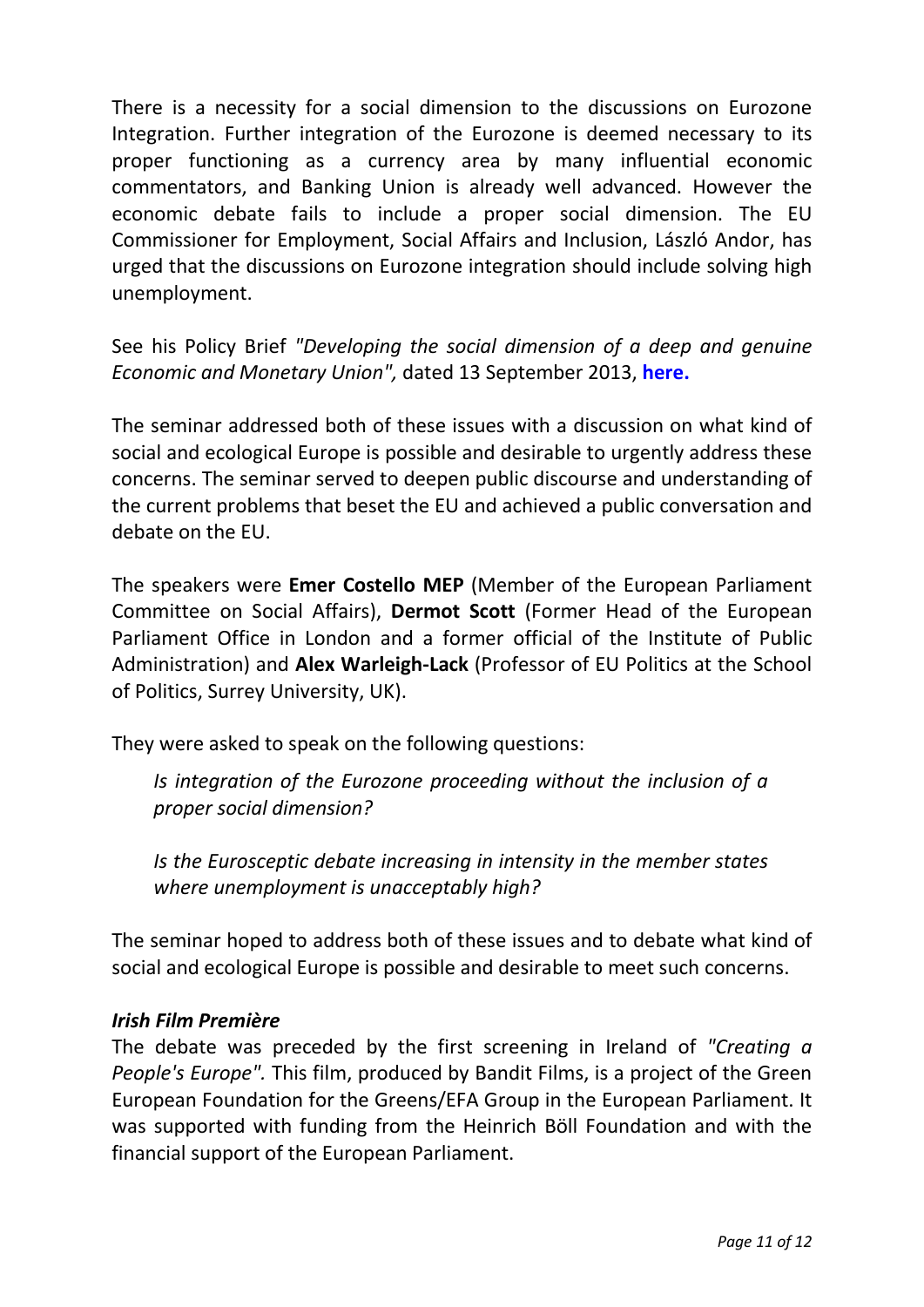There is a necessity for a social dimension to the discussions on Eurozone Integration. Further integration of the Eurozone is deemed necessary to its proper functioning as a currency area by many influential economic commentators, and Banking Union is already well advanced. However the economic debate fails to include a proper social dimension. The EU Commissioner for Employment, Social Affairs and Inclusion, László Andor, has urged that the discussions on Eurozone integration should include solving high unemployment.

See his Policy Brief *"Developing the social dimension of a deep and genuine Economic and Monetary Union",* dated 13 September 2013, **here.**

The seminar addressed both of these issues with a discussion on what kind of social and ecological Europe is possible and desirable to urgently address these concerns. The seminar served to deepen public discourse and understanding of the current problems that beset the EU and achieved a public conversation and debate on the EU.

The speakers were **Emer Costello MEP** (Member of the European Parliament Committee on Social Affairs), **Dermot Scott** (Former Head of the European Parliament Office in London and a former official of the Institute of Public Administration) and **Alex Warleigh-Lack** (Professor of EU Politics at the School of Politics, Surrey University, UK).

They were asked to speak on the following questions:

*Is integration of the Eurozone proceeding without the inclusion of a proper social dimension?* 

*Is the Eurosceptic debate increasing in intensity in the member states where unemployment is unacceptably high?* 

The seminar hoped to address both of these issues and to debate what kind of social and ecological Europe is possible and desirable to meet such concerns.

#### *Irish Film Première*

The debate was preceded by the first screening in Ireland of *"Creating a People's Europe".* This film, produced by Bandit Films, is a project of the Green European Foundation for the Greens/EFA Group in the European Parliament. It was supported with funding from the Heinrich Böll Foundation and with the financial support of the European Parliament.